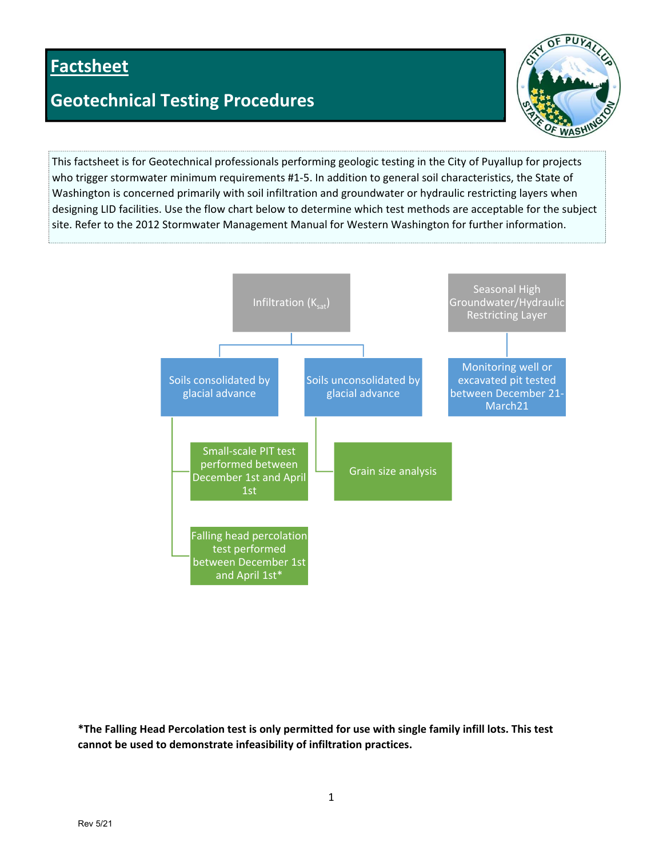# **Factsheet**

## **Geotechnical Testing Procedures**



This factsheet is for Geotechnical professionals performing geologic testing in the City of Puyallup for projects who trigger stormwater minimum requirements #1-5. In addition to general soil characteristics, the State of Washington is concerned primarily with soil infiltration and groundwater or hydraulic restricting layers when designing LID facilities. Use the flow chart below to determine which test methods are acceptable for the subject site. Refer to the 2012 Stormwater Management Manual for Western Washington for further information.



**\*The Falling Head Percolation test is only permitted for use with single family infill lots. This test cannot be used to demonstrate infeasibility of infiltration practices.**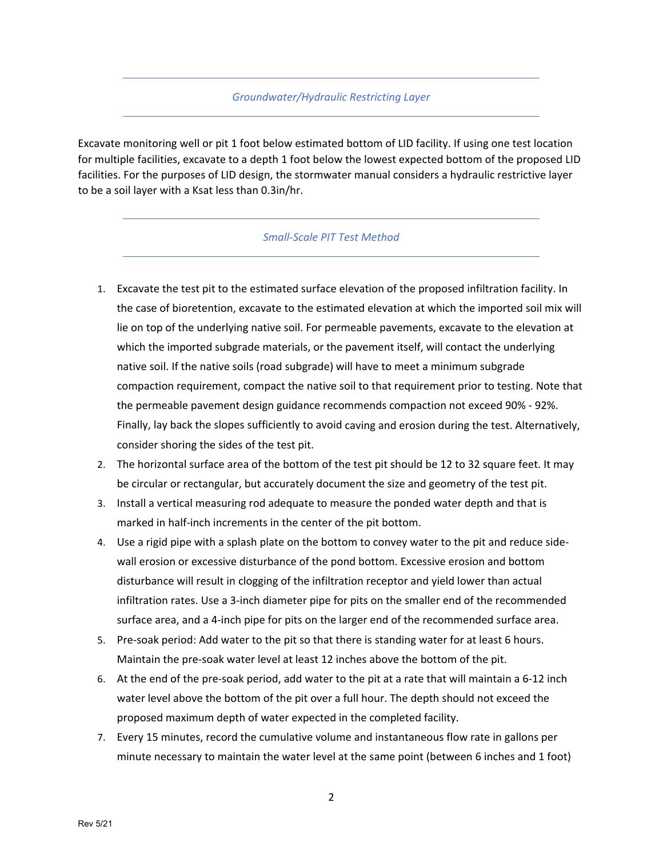#### *Groundwater/Hydraulic Restricting Layer*

Excavate monitoring well or pit 1 foot below estimated bottom of LID facility. If using one test location for multiple facilities, excavate to a depth 1 foot below the lowest expected bottom of the proposed LID facilities. For the purposes of LID design, the stormwater manual considers a hydraulic restrictive layer to be a soil layer with a Ksat less than 0.3in/hr.

#### *Small‐Scale PIT Test Method*

- 1. Excavate the test pit to the estimated surface elevation of the proposed infiltration facility. In the case of bioretention, excavate to the estimated elevation at which the imported soil mix will lie on top of the underlying native soil. For permeable pavements, excavate to the elevation at which the imported subgrade materials, or the pavement itself, will contact the underlying native soil. If the native soils (road subgrade) will have to meet a minimum subgrade compaction requirement, compact the native soil to that requirement prior to testing. Note that the permeable pavement design guidance recommends compaction not exceed 90% ‐ 92%. Finally, lay back the slopes sufficiently to avoid caving and erosion during the test. Alternatively, consider shoring the sides of the test pit.
- 2. The horizontal surface area of the bottom of the test pit should be 12 to 32 square feet. It may be circular or rectangular, but accurately document the size and geometry of the test pit.
- 3. Install a vertical measuring rod adequate to measure the ponded water depth and that is marked in half‐inch increments in the center of the pit bottom.
- 4. Use a rigid pipe with a splash plate on the bottom to convey water to the pit and reduce side‐ wall erosion or excessive disturbance of the pond bottom. Excessive erosion and bottom disturbance will result in clogging of the infiltration receptor and yield lower than actual infiltration rates. Use a 3‐inch diameter pipe for pits on the smaller end of the recommended surface area, and a 4‐inch pipe for pits on the larger end of the recommended surface area.
- 5. Pre-soak period: Add water to the pit so that there is standing water for at least 6 hours. Maintain the pre‐soak water level at least 12 inches above the bottom of the pit.
- 6. At the end of the pre‐soak period, add water to the pit at a rate that will maintain a 6‐12 inch water level above the bottom of the pit over a full hour. The depth should not exceed the proposed maximum depth of water expected in the completed facility.
- 7. Every 15 minutes, record the cumulative volume and instantaneous flow rate in gallons per minute necessary to maintain the water level at the same point (between 6 inches and 1 foot)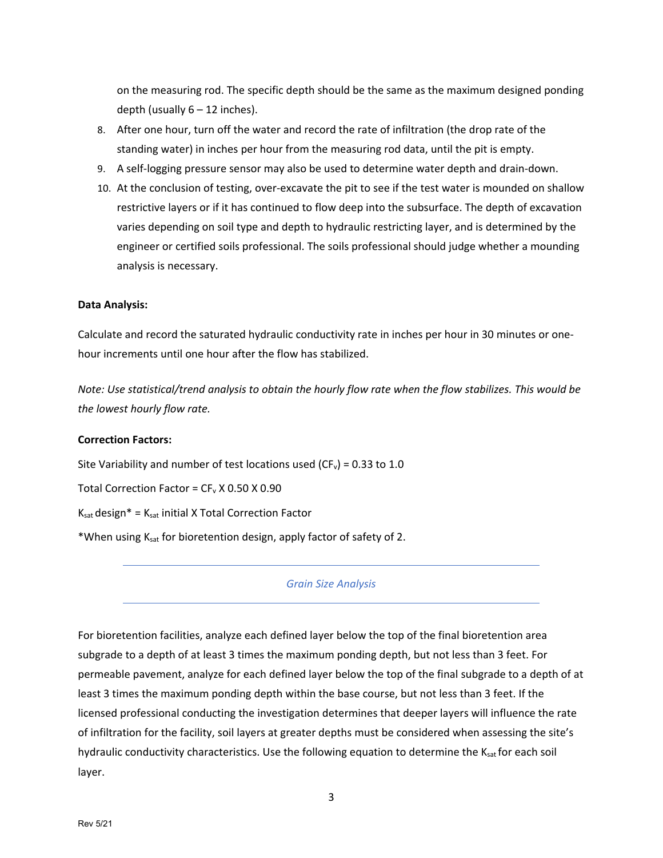on the measuring rod. The specific depth should be the same as the maximum designed ponding depth (usually  $6 - 12$  inches).

- 8. After one hour, turn off the water and record the rate of infiltration (the drop rate of the standing water) in inches per hour from the measuring rod data, until the pit is empty.
- 9. A self‐logging pressure sensor may also be used to determine water depth and drain‐down.
- 10. At the conclusion of testing, over‐excavate the pit to see if the test water is mounded on shallow restrictive layers or if it has continued to flow deep into the subsurface. The depth of excavation varies depending on soil type and depth to hydraulic restricting layer, and is determined by the engineer or certified soils professional. The soils professional should judge whether a mounding analysis is necessary.

#### **Data Analysis:**

Calculate and record the saturated hydraulic conductivity rate in inches per hour in 30 minutes or one‐ hour increments until one hour after the flow has stabilized.

Note: Use statistical/trend analysis to obtain the hourly flow rate when the flow stabilizes. This would be *the lowest hourly flow rate.*

#### **Correction Factors:**

Site Variability and number of test locations used ( $CF_v$ ) = 0.33 to 1.0

Total Correction Factor =  $CF_v$  X 0.50 X 0.90

 $K_{sat}$  design\* =  $K_{sat}$  initial X Total Correction Factor

\*When using Ksat for bioretention design, apply factor of safety of 2.

### *Grain Size Analysis*

For bioretention facilities, analyze each defined layer below the top of the final bioretention area subgrade to a depth of at least 3 times the maximum ponding depth, but not less than 3 feet. For permeable pavement, analyze for each defined layer below the top of the final subgrade to a depth of at least 3 times the maximum ponding depth within the base course, but not less than 3 feet. If the licensed professional conducting the investigation determines that deeper layers will influence the rate of infiltration for the facility, soil layers at greater depths must be considered when assessing the site's hydraulic conductivity characteristics. Use the following equation to determine the  $K_{sat}$  for each soil layer.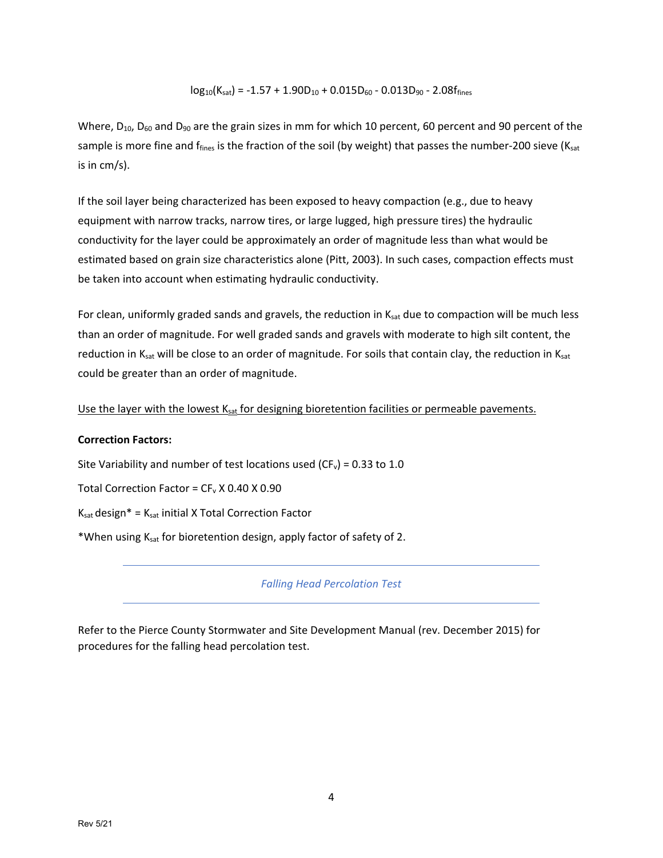## $log_{10}(K_{sat}) = -1.57 + 1.90D_{10} + 0.015D_{60} - 0.013D_{90} - 2.08f_{fines}$

Where,  $D_{10}$ ,  $D_{60}$  and  $D_{90}$  are the grain sizes in mm for which 10 percent, 60 percent and 90 percent of the sample is more fine and f<sub>fines</sub> is the fraction of the soil (by weight) that passes the number-200 sieve (K<sub>sat</sub> is in cm/s).

If the soil layer being characterized has been exposed to heavy compaction (e.g., due to heavy equipment with narrow tracks, narrow tires, or large lugged, high pressure tires) the hydraulic conductivity for the layer could be approximately an order of magnitude less than what would be estimated based on grain size characteristics alone (Pitt, 2003). In such cases, compaction effects must be taken into account when estimating hydraulic conductivity.

For clean, uniformly graded sands and gravels, the reduction in Ksat due to compaction will be much less than an order of magnitude. For well graded sands and gravels with moderate to high silt content, the reduction in K<sub>sat</sub> will be close to an order of magnitude. For soils that contain clay, the reduction in K<sub>sat</sub> could be greater than an order of magnitude.

Use the layer with the lowest K<sub>sat</sub> for designing bioretention facilities or permeable pavements.

### **Correction Factors:**

Site Variability and number of test locations used ( $CF_v$ ) = 0.33 to 1.0

Total Correction Factor =  $CF_v$  X 0.40 X 0.90

 $K_{sat}$  design\* =  $K_{sat}$  initial X Total Correction Factor

\*When using Ksat for bioretention design, apply factor of safety of 2.

*Falling Head Percolation Test*

Refer to the Pierce County Stormwater and Site Development Manual (rev. December 2015) for procedures for the falling head percolation test.